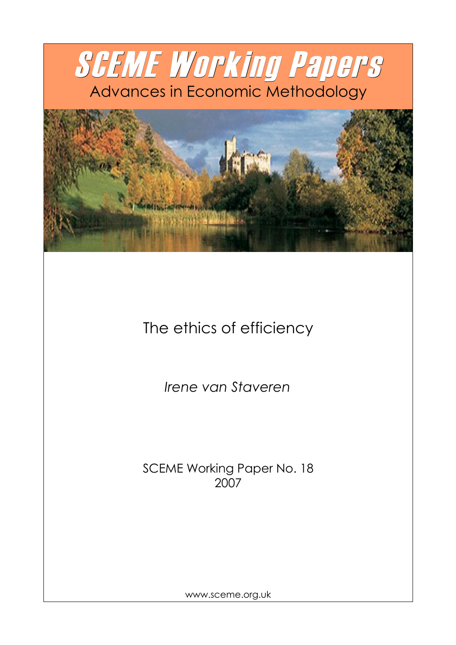



The ethics of efficiency

*Irene van Staveren*

SCEME Working Paper No. 18 2007

www.sceme.org.uk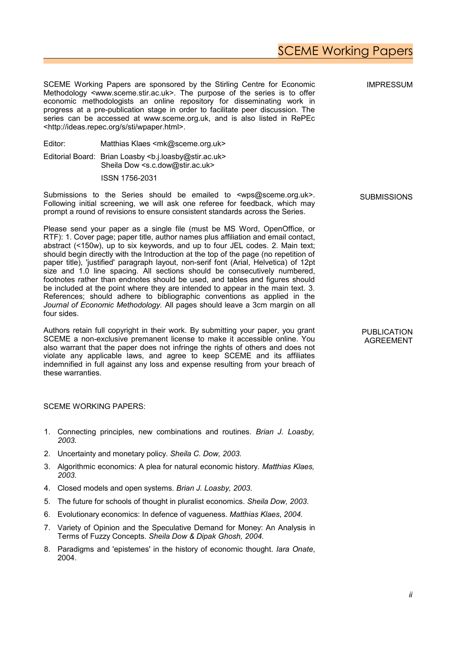# SCEME Working Papers

SCEME Working Papers are sponsored by the Stirling Centre for Economic Methodology <www.sceme.stir.ac.uk>. The purpose of the series is to offer economic methodologists an online repository for disseminating work in progress at a pre-publication stage in order to facilitate peer discussion. The series can be accessed at www.sceme.org.uk, and is also listed in RePEc <http://ideas.repec.org/s/sti/wpaper.html>.

Editor: Matthias Klaes <mk@sceme.org.uk>

Editorial Board: Brian Loasby <b.j.loasby@stir.ac.uk> Sheila Dow <s.c.dow@stir.ac.uk>

ISSN 1756-2031

Submissions to the Series should be emailed to <wps@sceme.org.uk>. Following initial screening, we will ask one referee for feedback, which may prompt a round of revisions to ensure consistent standards across the Series.

Please send your paper as a single file (must be MS Word, OpenOffice, or RTF): 1. Cover page; paper title, author names plus affiliation and email contact, abstract (<150w), up to six keywords, and up to four JEL codes. 2. Main text; should begin directly with the Introduction at the top of the page (no repetition of paper title), 'justified' paragraph layout, non-serif font (Arial, Helvetica) of 12pt size and 1.0 line spacing. All sections should be consecutively numbered, footnotes rather than endnotes should be used, and tables and figures should be included at the point where they are intended to appear in the main text. 3. References; should adhere to bibliographic conventions as applied in the *Journal of Economic Methodology.* All pages should leave a 3cm margin on all four sides.

Authors retain full copyright in their work. By submitting your paper, you grant SCEME a non-exclusive premanent license to make it accessible online. You also warrant that the paper does not infringe the rights of others and does not violate any applicable laws, and agree to keep SCEME and its affiliates indemnified in full against any loss and expense resulting from your breach of these warranties.

#### SCEME WORKING PAPERS:

- 1. Connecting principles, new combinations and routines. *Brian J. Loasby, 2003*.
- 2. Uncertainty and monetary policy. *Sheila C. Dow, 2003.*
- 3. Algorithmic economics: A plea for natural economic history. *Matthias Klaes, 2003*.
- 4. Closed models and open systems. *Brian J. Loasby, 2003*.
- 5. The future for schools of thought in pluralist economics. *Sheila Dow, 2003*.
- 6. Evolutionary economics: In defence of vagueness. *Matthias Klaes*, *2004.*
- 7. Variety of Opinion and the Speculative Demand for Money: An Analysis in Terms of Fuzzy Concepts. *Sheila Dow & Dipak Ghosh, 2004.*
- 8. Paradigms and 'epistemes' in the history of economic thought. *Iara Onate*, 2004.

**SUBMISSIONS** 

IMPRESSUM

PUBLICATION AGREEMENT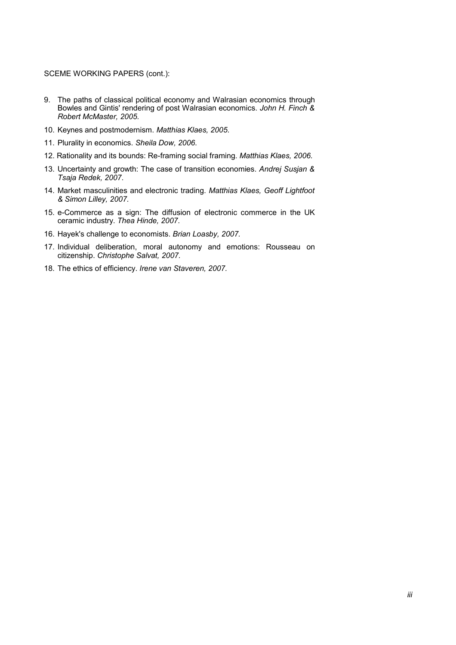#### SCEME WORKING PAPERS (cont.):

- 9. The paths of classical political economy and Walrasian economics through Bowles and Gintis' rendering of post Walrasian economics. *John H. Finch & Robert McMaster, 2005.*
- 10. Keynes and postmodernism. *Matthias Klaes, 2005*.
- 11. Plurality in economics. *Sheila Dow, 2006*.
- 12. Rationality and its bounds: Re-framing social framing. *Matthias Klaes, 2006.*
- 13. Uncertainty and growth: The case of transition economies. *Andrej Susjan & Tsaja Redek, 2007*.
- 14. Market masculinities and electronic trading. *Matthias Klaes, Geoff Lightfoot & Simon Lilley, 2007*.
- 15. e-Commerce as a sign: The diffusion of electronic commerce in the UK ceramic industry. *Thea Hinde, 2007*.
- 16. Hayek's challenge to economists. *Brian Loasby, 2007.*
- 17. Individual deliberation, moral autonomy and emotions: Rousseau on citizenship. *Christophe Salvat, 2007.*
- 18. The ethics of efficiency. *Irene van Staveren, 2007.*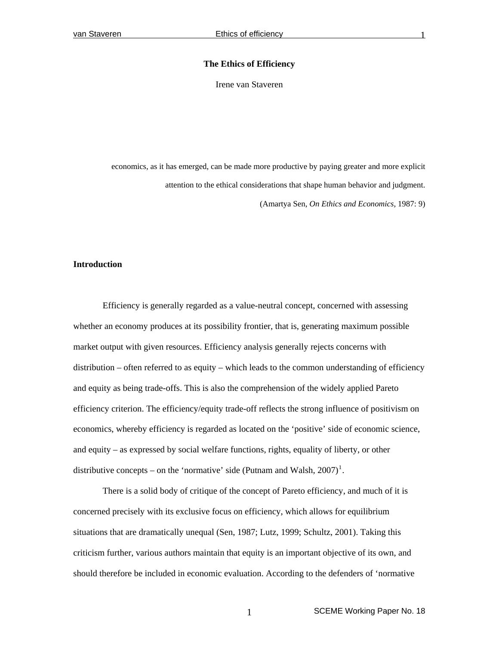### **The Ethics of Efficiency**

Irene van Staveren

economics, as it has emerged, can be made more productive by paying greater and more explicit attention to the ethical considerations that shape human behavior and judgment. (Amartya Sen, *On Ethics and Economics*, 1987: 9)

# **Introduction**

Efficiency is generally regarded as a value-neutral concept, concerned with assessing whether an economy produces at its possibility frontier, that is, generating maximum possible market output with given resources. Efficiency analysis generally rejects concerns with distribution – often referred to as equity – which leads to the common understanding of efficiency and equity as being trade-offs. This is also the comprehension of the widely applied Pareto efficiency criterion. The efficiency/equity trade-off reflects the strong influence of positivism on economics, whereby efficiency is regarded as located on the 'positive' side of economic science, and equity – as expressed by social welfare functions, rights, equality of liberty, or other distributive concepts – on the 'normative' side (Putnam and Walsh,  $2007$ )<sup>[1](#page-26-0)</sup>.

There is a solid body of critique of the concept of Pareto efficiency, and much of it is concerned precisely with its exclusive focus on efficiency, which allows for equilibrium situations that are dramatically unequal (Sen, 1987; Lutz, 1999; Schultz, 2001). Taking this criticism further, various authors maintain that equity is an important objective of its own, and should therefore be included in economic evaluation. According to the defenders of 'normative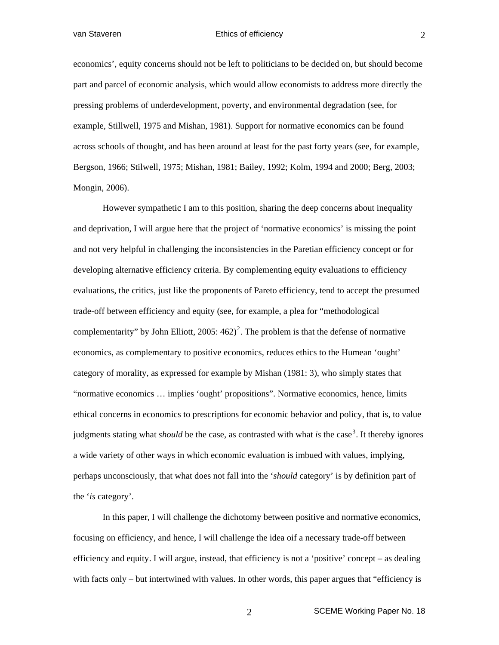economics', equity concerns should not be left to politicians to be decided on, but should become part and parcel of economic analysis, which would allow economists to address more directly the pressing problems of underdevelopment, poverty, and environmental degradation (see, for example, Stillwell, 1975 and Mishan, 1981). Support for normative economics can be found across schools of thought, and has been around at least for the past forty years (see, for example, Bergson, 1966; Stilwell, 1975; Mishan, 1981; Bailey, 1992; Kolm, 1994 and 2000; Berg, 2003; Mongin, 2006).

 However sympathetic I am to this position, sharing the deep concerns about inequality and deprivation, I will argue here that the project of 'normative economics' is missing the point and not very helpful in challenging the inconsistencies in the Paretian efficiency concept or for developing alternative efficiency criteria. By complementing equity evaluations to efficiency evaluations, the critics, just like the proponents of Pareto efficiency, tend to accept the presumed trade-off between efficiency and equity (see, for example, a plea for "methodological complementarity" by John Elliott,  $2005: 462)^2$  $2005: 462)^2$ . The problem is that the defense of normative economics, as complementary to positive economics, reduces ethics to the Humean 'ought' category of morality, as expressed for example by Mishan (1981: 3), who simply states that "normative economics … implies 'ought' propositions". Normative economics, hence, limits ethical concerns in economics to prescriptions for economic behavior and policy, that is, to value judgments stating what *should* be the case, as contrasted with what *is* the case<sup>[3](#page-26-1)</sup>. It thereby ignores a wide variety of other ways in which economic evaluation is imbued with values, implying, perhaps unconsciously, that what does not fall into the '*should* category' is by definition part of the '*is* category'.

In this paper, I will challenge the dichotomy between positive and normative economics, focusing on efficiency, and hence, I will challenge the idea oif a necessary trade-off between efficiency and equity. I will argue, instead, that efficiency is not a 'positive' concept – as dealing with facts only – but intertwined with values. In other words, this paper argues that "efficiency is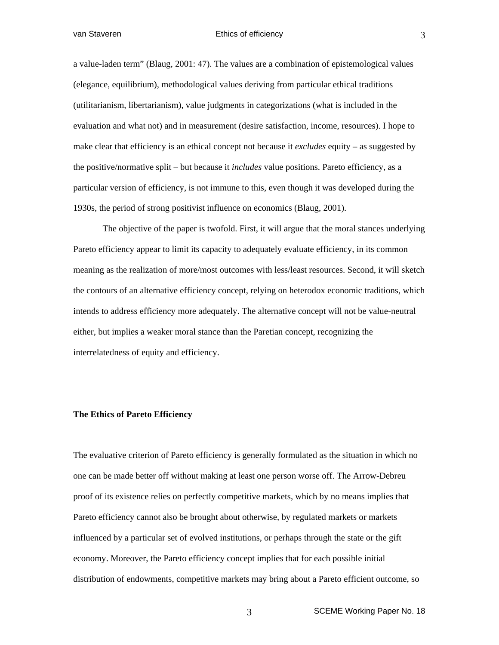a value-laden term" (Blaug, 2001: 47). The values are a combination of epistemological values (elegance, equilibrium), methodological values deriving from particular ethical traditions (utilitarianism, libertarianism), value judgments in categorizations (what is included in the evaluation and what not) and in measurement (desire satisfaction, income, resources). I hope to make clear that efficiency is an ethical concept not because it *excludes* equity – as suggested by the positive/normative split – but because it *includes* value positions. Pareto efficiency, as a particular version of efficiency, is not immune to this, even though it was developed during the 1930s, the period of strong positivist influence on economics (Blaug, 2001).

The objective of the paper is twofold. First, it will argue that the moral stances underlying Pareto efficiency appear to limit its capacity to adequately evaluate efficiency, in its common meaning as the realization of more/most outcomes with less/least resources. Second, it will sketch the contours of an alternative efficiency concept, relying on heterodox economic traditions, which intends to address efficiency more adequately. The alternative concept will not be value-neutral either, but implies a weaker moral stance than the Paretian concept, recognizing the interrelatedness of equity and efficiency.

# **The Ethics of Pareto Efficiency**

The evaluative criterion of Pareto efficiency is generally formulated as the situation in which no one can be made better off without making at least one person worse off. The Arrow-Debreu proof of its existence relies on perfectly competitive markets, which by no means implies that Pareto efficiency cannot also be brought about otherwise, by regulated markets or markets influenced by a particular set of evolved institutions, or perhaps through the state or the gift economy. Moreover, the Pareto efficiency concept implies that for each possible initial distribution of endowments, competitive markets may bring about a Pareto efficient outcome, so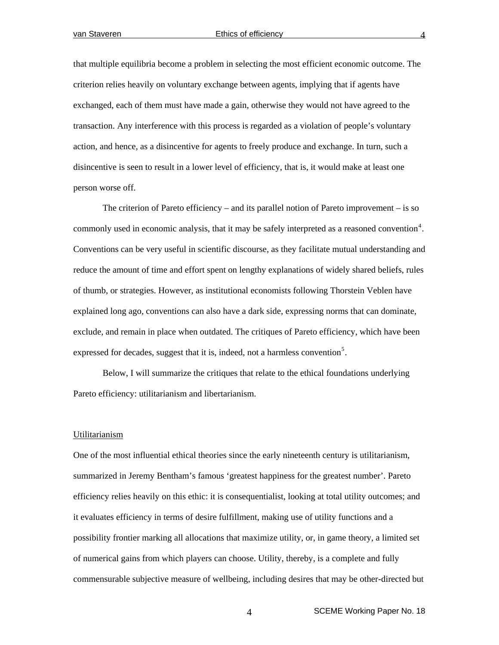that multiple equilibria become a problem in selecting the most efficient economic outcome. The criterion relies heavily on voluntary exchange between agents, implying that if agents have exchanged, each of them must have made a gain, otherwise they would not have agreed to the transaction. Any interference with this process is regarded as a violation of people's voluntary action, and hence, as a disincentive for agents to freely produce and exchange. In turn, such a disincentive is seen to result in a lower level of efficiency, that is, it would make at least one person worse off.

The criterion of Pareto efficiency – and its parallel notion of Pareto improvement – is so commonly used in economic analysis, that it may be safely interpreted as a reasoned convention<sup>[4](#page-26-1)</sup>. Conventions can be very useful in scientific discourse, as they facilitate mutual understanding and reduce the amount of time and effort spent on lengthy explanations of widely shared beliefs, rules of thumb, or strategies. However, as institutional economists following Thorstein Veblen have explained long ago, conventions can also have a dark side, expressing norms that can dominate, exclude, and remain in place when outdated. The critiques of Pareto efficiency, which have been expressed for decades, suggest that it is, indeed, not a harmless convention<sup>[5](#page-26-1)</sup>.

Below, I will summarize the critiques that relate to the ethical foundations underlying Pareto efficiency: utilitarianism and libertarianism.

# Utilitarianism

One of the most influential ethical theories since the early nineteenth century is utilitarianism, summarized in Jeremy Bentham's famous 'greatest happiness for the greatest number'. Pareto efficiency relies heavily on this ethic: it is consequentialist, looking at total utility outcomes; and it evaluates efficiency in terms of desire fulfillment, making use of utility functions and a possibility frontier marking all allocations that maximize utility, or, in game theory, a limited set of numerical gains from which players can choose. Utility, thereby, is a complete and fully commensurable subjective measure of wellbeing, including desires that may be other-directed but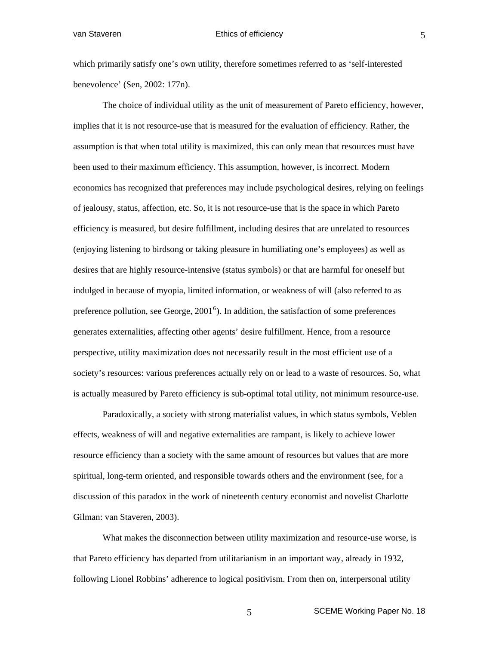which primarily satisfy one's own utility, therefore sometimes referred to as 'self-interested benevolence' (Sen, 2002: 177n).

 The choice of individual utility as the unit of measurement of Pareto efficiency, however, implies that it is not resource-use that is measured for the evaluation of efficiency. Rather, the assumption is that when total utility is maximized, this can only mean that resources must have been used to their maximum efficiency. This assumption, however, is incorrect. Modern economics has recognized that preferences may include psychological desires, relying on feelings of jealousy, status, affection, etc. So, it is not resource-use that is the space in which Pareto efficiency is measured, but desire fulfillment, including desires that are unrelated to resources (enjoying listening to birdsong or taking pleasure in humiliating one's employees) as well as desires that are highly resource-intensive (status symbols) or that are harmful for oneself but indulged in because of myopia, limited information, or weakness of will (also referred to as preference pollution, see George,  $2001<sup>6</sup>$  $2001<sup>6</sup>$  $2001<sup>6</sup>$ ). In addition, the satisfaction of some preferences generates externalities, affecting other agents' desire fulfillment. Hence, from a resource perspective, utility maximization does not necessarily result in the most efficient use of a society's resources: various preferences actually rely on or lead to a waste of resources. So, what is actually measured by Pareto efficiency is sub-optimal total utility, not minimum resource-use.

Paradoxically, a society with strong materialist values, in which status symbols, Veblen effects, weakness of will and negative externalities are rampant, is likely to achieve lower resource efficiency than a society with the same amount of resources but values that are more spiritual, long-term oriented, and responsible towards others and the environment (see, for a discussion of this paradox in the work of nineteenth century economist and novelist Charlotte Gilman: van Staveren, 2003).

 What makes the disconnection between utility maximization and resource-use worse, is that Pareto efficiency has departed from utilitarianism in an important way, already in 1932, following Lionel Robbins' adherence to logical positivism. From then on, interpersonal utility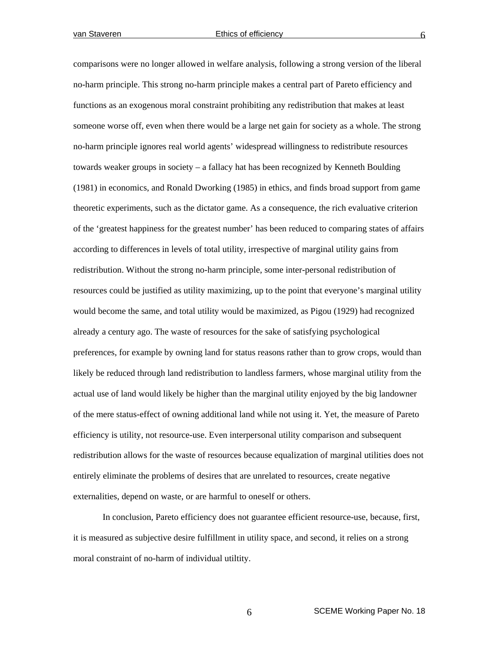comparisons were no longer allowed in welfare analysis, following a strong version of the liberal no-harm principle. This strong no-harm principle makes a central part of Pareto efficiency and functions as an exogenous moral constraint prohibiting any redistribution that makes at least someone worse off, even when there would be a large net gain for society as a whole. The strong no-harm principle ignores real world agents' widespread willingness to redistribute resources towards weaker groups in society – a fallacy hat has been recognized by Kenneth Boulding (1981) in economics, and Ronald Dworking (1985) in ethics, and finds broad support from game theoretic experiments, such as the dictator game. As a consequence, the rich evaluative criterion of the 'greatest happiness for the greatest number' has been reduced to comparing states of affairs according to differences in levels of total utility, irrespective of marginal utility gains from redistribution. Without the strong no-harm principle, some inter-personal redistribution of resources could be justified as utility maximizing, up to the point that everyone's marginal utility would become the same, and total utility would be maximized, as Pigou (1929) had recognized already a century ago. The waste of resources for the sake of satisfying psychological preferences, for example by owning land for status reasons rather than to grow crops, would than likely be reduced through land redistribution to landless farmers, whose marginal utility from the actual use of land would likely be higher than the marginal utility enjoyed by the big landowner of the mere status-effect of owning additional land while not using it. Yet, the measure of Pareto efficiency is utility, not resource-use. Even interpersonal utility comparison and subsequent redistribution allows for the waste of resources because equalization of marginal utilities does not entirely eliminate the problems of desires that are unrelated to resources, create negative externalities, depend on waste, or are harmful to oneself or others.

 In conclusion, Pareto efficiency does not guarantee efficient resource-use, because, first, it is measured as subjective desire fulfillment in utility space, and second, it relies on a strong moral constraint of no-harm of individual utiltity.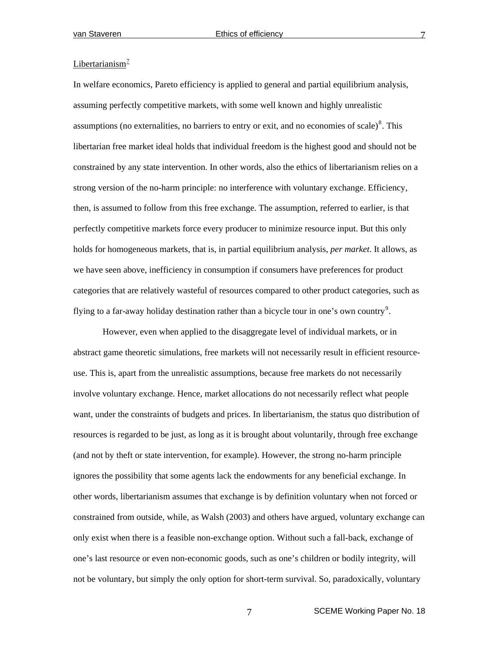# Libertarianism $^2$

In welfare economics, Pareto efficiency is applied to general and partial equilibrium analysis, assuming perfectly competitive markets, with some well known and highly unrealistic assumptions (no externalities, no barriers to entry or exit, and no economies of scale) $\delta$ . This libertarian free market ideal holds that individual freedom is the highest good and should not be constrained by any state intervention. In other words, also the ethics of libertarianism relies on a strong version of the no-harm principle: no interference with voluntary exchange. Efficiency, then, is assumed to follow from this free exchange. The assumption, referred to earlier, is that perfectly competitive markets force every producer to minimize resource input. But this only holds for homogeneous markets, that is, in partial equilibrium analysis, *per market*. It allows, as we have seen above, inefficiency in consumption if consumers have preferences for product categories that are relatively wasteful of resources compared to other product categories, such as flying to a far-away holiday destination rather than a bicycle tour in one's own country<sup>[9](#page-26-1)</sup>.

However, even when applied to the disaggregate level of individual markets, or in abstract game theoretic simulations, free markets will not necessarily result in efficient resourceuse. This is, apart from the unrealistic assumptions, because free markets do not necessarily involve voluntary exchange. Hence, market allocations do not necessarily reflect what people want, under the constraints of budgets and prices. In libertarianism, the status quo distribution of resources is regarded to be just, as long as it is brought about voluntarily, through free exchange (and not by theft or state intervention, for example). However, the strong no-harm principle ignores the possibility that some agents lack the endowments for any beneficial exchange. In other words, libertarianism assumes that exchange is by definition voluntary when not forced or constrained from outside, while, as Walsh (2003) and others have argued, voluntary exchange can only exist when there is a feasible non-exchange option. Without such a fall-back, exchange of one's last resource or even non-economic goods, such as one's children or bodily integrity, will not be voluntary, but simply the only option for short-term survival. So, paradoxically, voluntary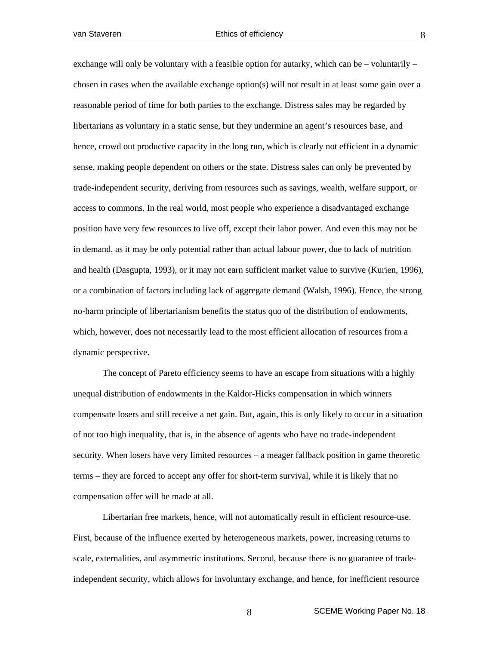exchange will only be voluntary with a feasible option for autarky, which can be – voluntarily – chosen in cases when the available exchange option(s) will not result in at least some gain over a reasonable period of time for both parties to the exchange. Distress sales may be regarded by libertarians as voluntary in a static sense, but they undermine an agent's resources base, and hence, crowd out productive capacity in the long run, which is clearly not efficient in a dynamic sense, making people dependent on others or the state. Distress sales can only be prevented by trade-independent security, deriving from resources such as savings, wealth, welfare support, or access to commons. In the real world, most people who experience a disadvantaged exchange position have very few resources to live off, except their labor power. And even this may not be in demand, as it may be only potential rather than actual labour power, due to lack of nutrition and health (Dasgupta, 1993), or it may not earn sufficient market value to survive (Kurien, 1996), or a combination of factors including lack of aggregate demand (Walsh, 1996). Hence, the strong no-harm principle of libertarianism benefits the status quo of the distribution of endowments, which, however, does not necessarily lead to the most efficient allocation of resources from a dynamic perspective.

The concept of Pareto efficiency seems to have an escape from situations with a highly unequal distribution of endowments in the Kaldor-Hicks compensation in which winners compensate losers and still receive a net gain. But, again, this is only likely to occur in a situation of not too high inequality, that is, in the absence of agents who have no trade-independent security. When losers have very limited resources – a meager fallback position in game theoretic terms – they are forced to accept any offer for short-term survival, while it is likely that no compensation offer will be made at all.

Libertarian free markets, hence, will not automatically result in efficient resource-use. First, because of the influence exerted by heterogeneous markets, power, increasing returns to scale, externalities, and asymmetric institutions. Second, because there is no guarantee of tradeindependent security, which allows for involuntary exchange, and hence, for inefficient resource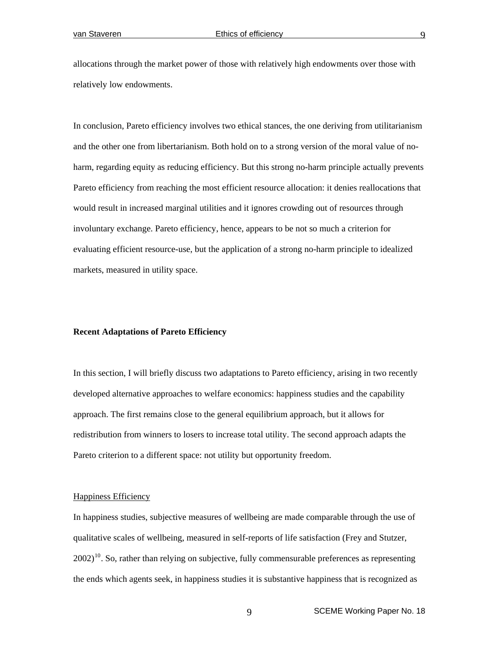allocations through the market power of those with relatively high endowments over those with relatively low endowments.

In conclusion, Pareto efficiency involves two ethical stances, the one deriving from utilitarianism and the other one from libertarianism. Both hold on to a strong version of the moral value of noharm, regarding equity as reducing efficiency. But this strong no-harm principle actually prevents Pareto efficiency from reaching the most efficient resource allocation: it denies reallocations that would result in increased marginal utilities and it ignores crowding out of resources through involuntary exchange. Pareto efficiency, hence, appears to be not so much a criterion for evaluating efficient resource-use, but the application of a strong no-harm principle to idealized markets, measured in utility space.

# **Recent Adaptations of Pareto Efficiency**

In this section, I will briefly discuss two adaptations to Pareto efficiency, arising in two recently developed alternative approaches to welfare economics: happiness studies and the capability approach. The first remains close to the general equilibrium approach, but it allows for redistribution from winners to losers to increase total utility. The second approach adapts the Pareto criterion to a different space: not utility but opportunity freedom.

### Happiness Efficiency

In happiness studies, subjective measures of wellbeing are made comparable through the use of qualitative scales of wellbeing, measured in self-reports of life satisfaction (Frey and Stutzer,  $2002$ <sup>[10](#page-26-1)</sup>. So, rather than relying on subjective, fully commensurable preferences as representing the ends which agents seek, in happiness studies it is substantive happiness that is recognized as

9 SCEME Working Paper No. 18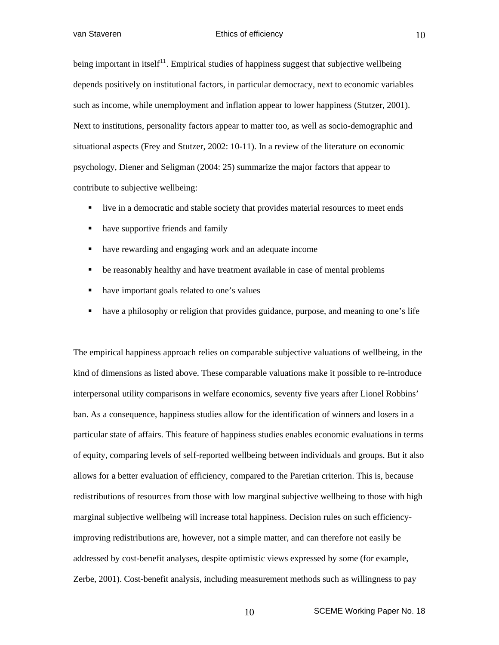being important in itself<sup>[11](#page-26-1)</sup>. Empirical studies of happiness suggest that subjective wellbeing depends positively on institutional factors, in particular democracy, next to economic variables such as income, while unemployment and inflation appear to lower happiness (Stutzer, 2001). Next to institutions, personality factors appear to matter too, as well as socio-demographic and situational aspects (Frey and Stutzer, 2002: 10-11). In a review of the literature on economic psychology, Diener and Seligman (2004: 25) summarize the major factors that appear to contribute to subjective wellbeing:

- live in a democratic and stable society that provides material resources to meet ends
- have supportive friends and family
- have rewarding and engaging work and an adequate income
- be reasonably healthy and have treatment available in case of mental problems
- have important goals related to one's values
- have a philosophy or religion that provides guidance, purpose, and meaning to one's life

The empirical happiness approach relies on comparable subjective valuations of wellbeing, in the kind of dimensions as listed above. These comparable valuations make it possible to re-introduce interpersonal utility comparisons in welfare economics, seventy five years after Lionel Robbins' ban. As a consequence, happiness studies allow for the identification of winners and losers in a particular state of affairs. This feature of happiness studies enables economic evaluations in terms of equity, comparing levels of self-reported wellbeing between individuals and groups. But it also allows for a better evaluation of efficiency, compared to the Paretian criterion. This is, because redistributions of resources from those with low marginal subjective wellbeing to those with high marginal subjective wellbeing will increase total happiness. Decision rules on such efficiencyimproving redistributions are, however, not a simple matter, and can therefore not easily be addressed by cost-benefit analyses, despite optimistic views expressed by some (for example, Zerbe, 2001). Cost-benefit analysis, including measurement methods such as willingness to pay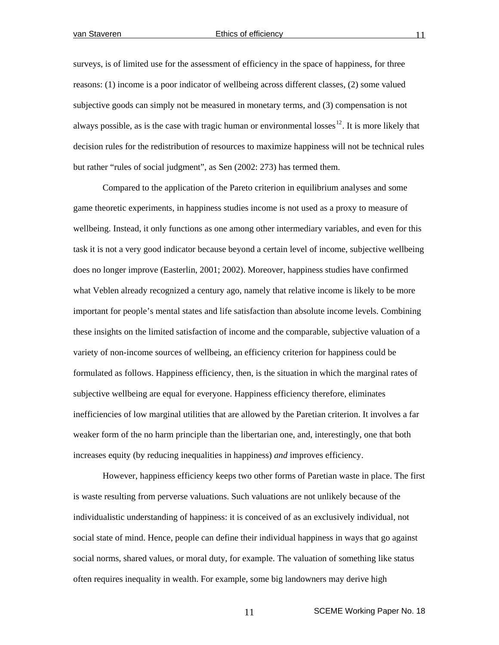surveys, is of limited use for the assessment of efficiency in the space of happiness, for three reasons: (1) income is a poor indicator of wellbeing across different classes, (2) some valued subjective goods can simply not be measured in monetary terms, and (3) compensation is not always possible, as is the case with tragic human or environmental losses<sup>[12](#page-26-1)</sup>. It is more likely that decision rules for the redistribution of resources to maximize happiness will not be technical rules but rather "rules of social judgment", as Sen (2002: 273) has termed them.

 Compared to the application of the Pareto criterion in equilibrium analyses and some game theoretic experiments, in happiness studies income is not used as a proxy to measure of wellbeing. Instead, it only functions as one among other intermediary variables, and even for this task it is not a very good indicator because beyond a certain level of income, subjective wellbeing does no longer improve (Easterlin, 2001; 2002). Moreover, happiness studies have confirmed what Veblen already recognized a century ago, namely that relative income is likely to be more important for people's mental states and life satisfaction than absolute income levels. Combining these insights on the limited satisfaction of income and the comparable, subjective valuation of a variety of non-income sources of wellbeing, an efficiency criterion for happiness could be formulated as follows. Happiness efficiency, then, is the situation in which the marginal rates of subjective wellbeing are equal for everyone. Happiness efficiency therefore, eliminates inefficiencies of low marginal utilities that are allowed by the Paretian criterion. It involves a far weaker form of the no harm principle than the libertarian one, and, interestingly, one that both increases equity (by reducing inequalities in happiness) *and* improves efficiency.

However, happiness efficiency keeps two other forms of Paretian waste in place. The first is waste resulting from perverse valuations. Such valuations are not unlikely because of the individualistic understanding of happiness: it is conceived of as an exclusively individual, not social state of mind. Hence, people can define their individual happiness in ways that go against social norms, shared values, or moral duty, for example. The valuation of something like status often requires inequality in wealth. For example, some big landowners may derive high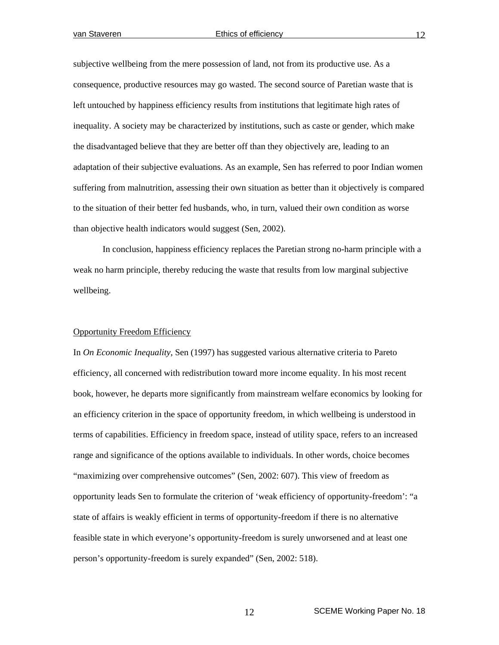subjective wellbeing from the mere possession of land, not from its productive use. As a consequence, productive resources may go wasted. The second source of Paretian waste that is left untouched by happiness efficiency results from institutions that legitimate high rates of inequality. A society may be characterized by institutions, such as caste or gender, which make the disadvantaged believe that they are better off than they objectively are, leading to an adaptation of their subjective evaluations. As an example, Sen has referred to poor Indian women suffering from malnutrition, assessing their own situation as better than it objectively is compared to the situation of their better fed husbands, who, in turn, valued their own condition as worse than objective health indicators would suggest (Sen, 2002).

In conclusion, happiness efficiency replaces the Paretian strong no-harm principle with a weak no harm principle, thereby reducing the waste that results from low marginal subjective wellbeing.

#### Opportunity Freedom Efficiency

In *On Economic Inequality*, Sen (1997) has suggested various alternative criteria to Pareto efficiency, all concerned with redistribution toward more income equality. In his most recent book, however, he departs more significantly from mainstream welfare economics by looking for an efficiency criterion in the space of opportunity freedom, in which wellbeing is understood in terms of capabilities. Efficiency in freedom space, instead of utility space, refers to an increased range and significance of the options available to individuals. In other words, choice becomes "maximizing over comprehensive outcomes" (Sen, 2002: 607). This view of freedom as opportunity leads Sen to formulate the criterion of 'weak efficiency of opportunity-freedom': "a state of affairs is weakly efficient in terms of opportunity-freedom if there is no alternative feasible state in which everyone's opportunity-freedom is surely unworsened and at least one person's opportunity-freedom is surely expanded" (Sen, 2002: 518).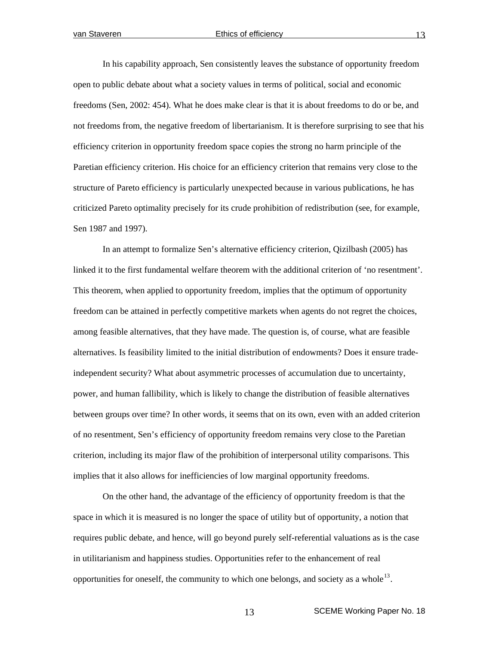In his capability approach, Sen consistently leaves the substance of opportunity freedom open to public debate about what a society values in terms of political, social and economic freedoms (Sen, 2002: 454). What he does make clear is that it is about freedoms to do or be, and not freedoms from, the negative freedom of libertarianism. It is therefore surprising to see that his efficiency criterion in opportunity freedom space copies the strong no harm principle of the Paretian efficiency criterion. His choice for an efficiency criterion that remains very close to the structure of Pareto efficiency is particularly unexpected because in various publications, he has criticized Pareto optimality precisely for its crude prohibition of redistribution (see, for example, Sen 1987 and 1997).

In an attempt to formalize Sen's alternative efficiency criterion, Qizilbash (2005) has linked it to the first fundamental welfare theorem with the additional criterion of 'no resentment'. This theorem, when applied to opportunity freedom, implies that the optimum of opportunity freedom can be attained in perfectly competitive markets when agents do not regret the choices, among feasible alternatives, that they have made. The question is, of course, what are feasible alternatives. Is feasibility limited to the initial distribution of endowments? Does it ensure tradeindependent security? What about asymmetric processes of accumulation due to uncertainty, power, and human fallibility, which is likely to change the distribution of feasible alternatives between groups over time? In other words, it seems that on its own, even with an added criterion of no resentment, Sen's efficiency of opportunity freedom remains very close to the Paretian criterion, including its major flaw of the prohibition of interpersonal utility comparisons. This implies that it also allows for inefficiencies of low marginal opportunity freedoms.

On the other hand, the advantage of the efficiency of opportunity freedom is that the space in which it is measured is no longer the space of utility but of opportunity, a notion that requires public debate, and hence, will go beyond purely self-referential valuations as is the case in utilitarianism and happiness studies. Opportunities refer to the enhancement of real opportunities for oneself, the community to which one belongs, and society as a whole<sup>[13](#page-26-1)</sup>.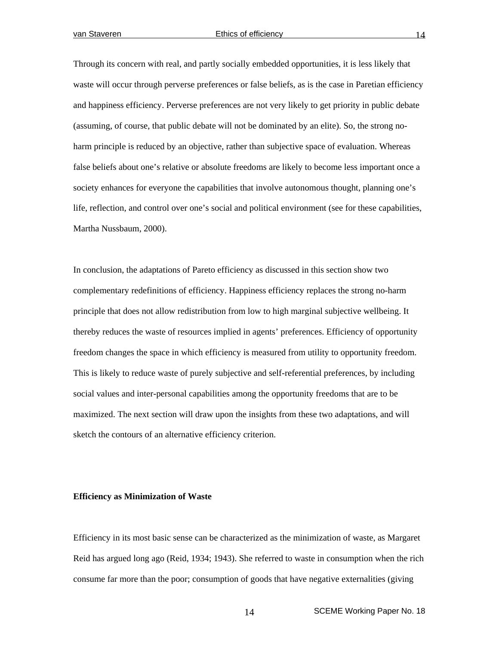Through its concern with real, and partly socially embedded opportunities, it is less likely that waste will occur through perverse preferences or false beliefs, as is the case in Paretian efficiency and happiness efficiency. Perverse preferences are not very likely to get priority in public debate (assuming, of course, that public debate will not be dominated by an elite). So, the strong noharm principle is reduced by an objective, rather than subjective space of evaluation. Whereas false beliefs about one's relative or absolute freedoms are likely to become less important once a society enhances for everyone the capabilities that involve autonomous thought, planning one's life, reflection, and control over one's social and political environment (see for these capabilities, Martha Nussbaum, 2000).

In conclusion, the adaptations of Pareto efficiency as discussed in this section show two complementary redefinitions of efficiency. Happiness efficiency replaces the strong no-harm principle that does not allow redistribution from low to high marginal subjective wellbeing. It thereby reduces the waste of resources implied in agents' preferences. Efficiency of opportunity freedom changes the space in which efficiency is measured from utility to opportunity freedom. This is likely to reduce waste of purely subjective and self-referential preferences, by including social values and inter-personal capabilities among the opportunity freedoms that are to be maximized. The next section will draw upon the insights from these two adaptations, and will sketch the contours of an alternative efficiency criterion.

# **Efficiency as Minimization of Waste**

Efficiency in its most basic sense can be characterized as the minimization of waste, as Margaret Reid has argued long ago (Reid, 1934; 1943). She referred to waste in consumption when the rich consume far more than the poor; consumption of goods that have negative externalities (giving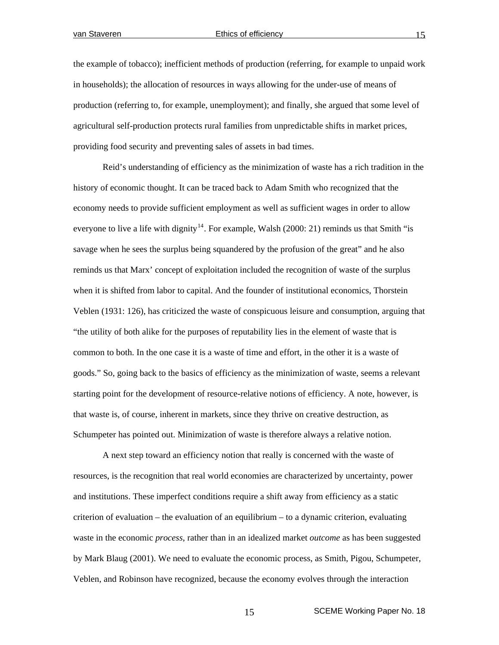the example of tobacco); inefficient methods of production (referring, for example to unpaid work in households); the allocation of resources in ways allowing for the under-use of means of production (referring to, for example, unemployment); and finally, she argued that some level of agricultural self-production protects rural families from unpredictable shifts in market prices, providing food security and preventing sales of assets in bad times.

Reid's understanding of efficiency as the minimization of waste has a rich tradition in the history of economic thought. It can be traced back to Adam Smith who recognized that the economy needs to provide sufficient employment as well as sufficient wages in order to allow everyone to live a life with dignity<sup>[14](#page-26-1)</sup>. For example, Walsh (2000: 21) reminds us that Smith "is savage when he sees the surplus being squandered by the profusion of the great" and he also reminds us that Marx' concept of exploitation included the recognition of waste of the surplus when it is shifted from labor to capital. And the founder of institutional economics, Thorstein Veblen (1931: 126), has criticized the waste of conspicuous leisure and consumption, arguing that "the utility of both alike for the purposes of reputability lies in the element of waste that is common to both. In the one case it is a waste of time and effort, in the other it is a waste of goods." So, going back to the basics of efficiency as the minimization of waste, seems a relevant starting point for the development of resource-relative notions of efficiency. A note, however, is that waste is, of course, inherent in markets, since they thrive on creative destruction, as Schumpeter has pointed out. Minimization of waste is therefore always a relative notion.

 A next step toward an efficiency notion that really is concerned with the waste of resources, is the recognition that real world economies are characterized by uncertainty, power and institutions. These imperfect conditions require a shift away from efficiency as a static criterion of evaluation – the evaluation of an equilibrium – to a dynamic criterion, evaluating waste in the economic *process*, rather than in an idealized market *outcome* as has been suggested by Mark Blaug (2001). We need to evaluate the economic process, as Smith, Pigou, Schumpeter, Veblen, and Robinson have recognized, because the economy evolves through the interaction

15 SCEME Working Paper No. 18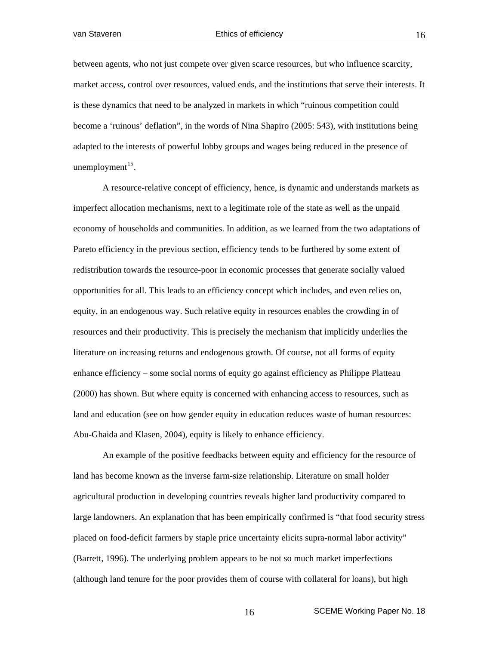between agents, who not just compete over given scarce resources, but who influence scarcity, market access, control over resources, valued ends, and the institutions that serve their interests. It is these dynamics that need to be analyzed in markets in which "ruinous competition could become a 'ruinous' deflation", in the words of Nina Shapiro (2005: 543), with institutions being adapted to the interests of powerful lobby groups and wages being reduced in the presence of unemployment $^{15}$  $^{15}$  $^{15}$ .

 A resource-relative concept of efficiency, hence, is dynamic and understands markets as imperfect allocation mechanisms, next to a legitimate role of the state as well as the unpaid economy of households and communities. In addition, as we learned from the two adaptations of Pareto efficiency in the previous section, efficiency tends to be furthered by some extent of redistribution towards the resource-poor in economic processes that generate socially valued opportunities for all. This leads to an efficiency concept which includes, and even relies on, equity, in an endogenous way. Such relative equity in resources enables the crowding in of resources and their productivity. This is precisely the mechanism that implicitly underlies the literature on increasing returns and endogenous growth. Of course, not all forms of equity enhance efficiency – some social norms of equity go against efficiency as Philippe Platteau (2000) has shown. But where equity is concerned with enhancing access to resources, such as land and education (see on how gender equity in education reduces waste of human resources: Abu-Ghaida and Klasen, 2004), equity is likely to enhance efficiency.

An example of the positive feedbacks between equity and efficiency for the resource of land has become known as the inverse farm-size relationship. Literature on small holder agricultural production in developing countries reveals higher land productivity compared to large landowners. An explanation that has been empirically confirmed is "that food security stress placed on food-deficit farmers by staple price uncertainty elicits supra-normal labor activity" (Barrett, 1996). The underlying problem appears to be not so much market imperfections (although land tenure for the poor provides them of course with collateral for loans), but high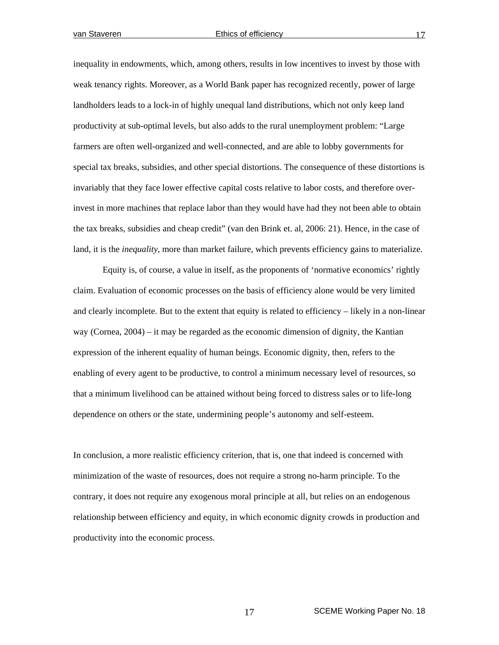inequality in endowments, which, among others, results in low incentives to invest by those with weak tenancy rights. Moreover, as a World Bank paper has recognized recently, power of large landholders leads to a lock-in of highly unequal land distributions, which not only keep land productivity at sub-optimal levels, but also adds to the rural unemployment problem: "Large farmers are often well-organized and well-connected, and are able to lobby governments for special tax breaks, subsidies, and other special distortions. The consequence of these distortions is invariably that they face lower effective capital costs relative to labor costs, and therefore overinvest in more machines that replace labor than they would have had they not been able to obtain the tax breaks, subsidies and cheap credit" (van den Brink et. al, 2006: 21). Hence, in the case of land, it is the *inequality*, more than market failure, which prevents efficiency gains to materialize.

 Equity is, of course, a value in itself, as the proponents of 'normative economics' rightly claim. Evaluation of economic processes on the basis of efficiency alone would be very limited and clearly incomplete. But to the extent that equity is related to efficiency – likely in a non-linear way (Cornea, 2004) – it may be regarded as the economic dimension of dignity, the Kantian expression of the inherent equality of human beings. Economic dignity, then, refers to the enabling of every agent to be productive, to control a minimum necessary level of resources, so that a minimum livelihood can be attained without being forced to distress sales or to life-long dependence on others or the state, undermining people's autonomy and self-esteem.

In conclusion, a more realistic efficiency criterion, that is, one that indeed is concerned with minimization of the waste of resources, does not require a strong no-harm principle. To the contrary, it does not require any exogenous moral principle at all, but relies on an endogenous relationship between efficiency and equity, in which economic dignity crowds in production and productivity into the economic process.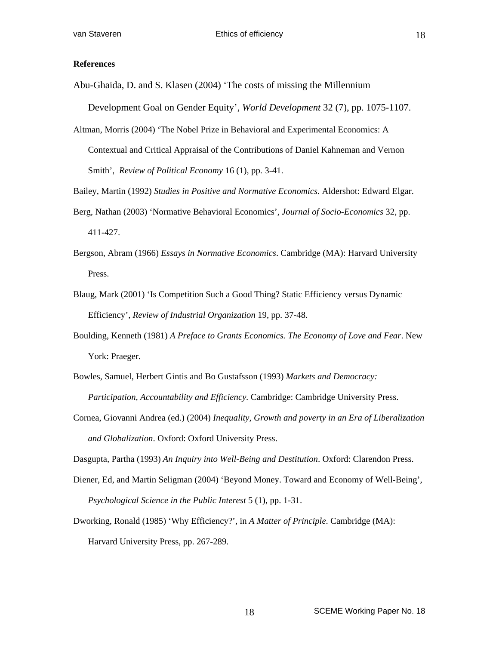### **References**

Abu-Ghaida, D. and S. Klasen (2004) 'The costs of missing the Millennium

Development Goal on Gender Equity', *World Development* 32 (7), pp. 1075-1107.

Altman, Morris (2004) 'The Nobel Prize in Behavioral and Experimental Economics: A Contextual and Critical Appraisal of the Contributions of Daniel Kahneman and Vernon Smith', *Review of Political Economy* 16 (1), pp. 3-41.

Bailey, Martin (1992) *Studies in Positive and Normative Economics*. Aldershot: Edward Elgar.

- Berg, Nathan (2003) 'Normative Behavioral Economics', *Journal of Socio-Economics* 32, pp. 411-427.
- Bergson, Abram (1966) *Essays in Normative Economics*. Cambridge (MA): Harvard University Press.
- Blaug, Mark (2001) 'Is Competition Such a Good Thing? Static Efficiency versus Dynamic Efficiency', *Review of Industrial Organization* 19, pp. 37-48.
- Boulding, Kenneth (1981) *A Preface to Grants Economics. The Economy of Love and Fear*. New York: Praeger.
- Bowles, Samuel, Herbert Gintis and Bo Gustafsson (1993) *Markets and Democracy: Participation, Accountability and Efficiency.* Cambridge: Cambridge University Press.
- Cornea, Giovanni Andrea (ed.) (2004) *Inequality, Growth and poverty in an Era of Liberalization and Globalization*. Oxford: Oxford University Press.

Dasgupta, Partha (1993) *An Inquiry into Well-Being and Destitution*. Oxford: Clarendon Press.

- Diener, Ed, and Martin Seligman (2004) 'Beyond Money. Toward and Economy of Well-Being', *Psychological Science in the Public Interest* 5 (1), pp. 1-31.
- Dworking, Ronald (1985) 'Why Efficiency?', in *A Matter of Principle*. Cambridge (MA): Harvard University Press, pp. 267-289.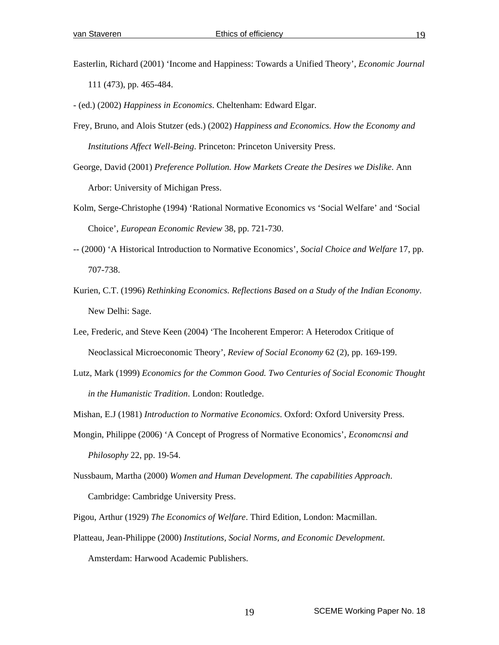- Easterlin, Richard (2001) 'Income and Happiness: Towards a Unified Theory', *Economic Journal* 111 (473), pp. 465-484.
- (ed.) (2002) *Happiness in Economics*. Cheltenham: Edward Elgar.
- Frey, Bruno, and Alois Stutzer (eds.) (2002) *Happiness and Economics. How the Economy and Institutions Affect Well-Being*. Princeton: Princeton University Press.
- George, David (2001) *Preference Pollution. How Markets Create the Desires we Dislike*. Ann Arbor: University of Michigan Press.
- Kolm, Serge-Christophe (1994) 'Rational Normative Economics vs 'Social Welfare' and 'Social Choice', *European Economic Review* 38, pp. 721-730.
- -- (2000) 'A Historical Introduction to Normative Economics', *Social Choice and Welfare* 17, pp. 707-738.
- Kurien, C.T. (1996) *Rethinking Economics. Reflections Based on a Study of the Indian Economy*. New Delhi: Sage.
- Lee, Frederic, and Steve Keen (2004) 'The Incoherent Emperor: A Heterodox Critique of Neoclassical Microeconomic Theory', *Review of Social Economy* 62 (2), pp. 169-199.
- Lutz, Mark (1999) *Economics for the Common Good. Two Centuries of Social Economic Thought in the Humanistic Tradition*. London: Routledge.
- Mishan, E.J (1981) *Introduction to Normative Economics*. Oxford: Oxford University Press.
- Mongin, Philippe (2006) 'A Concept of Progress of Normative Economics', *Economcnsi and Philosophy* 22, pp. 19-54.
- Nussbaum, Martha (2000) *Women and Human Development. The capabilities Approach*. Cambridge: Cambridge University Press.
- Pigou, Arthur (1929) *The Economics of Welfare*. Third Edition, London: Macmillan.
- Platteau, Jean-Philippe (2000) *Institutions, Social Norms, and Economic Development*. Amsterdam: Harwood Academic Publishers.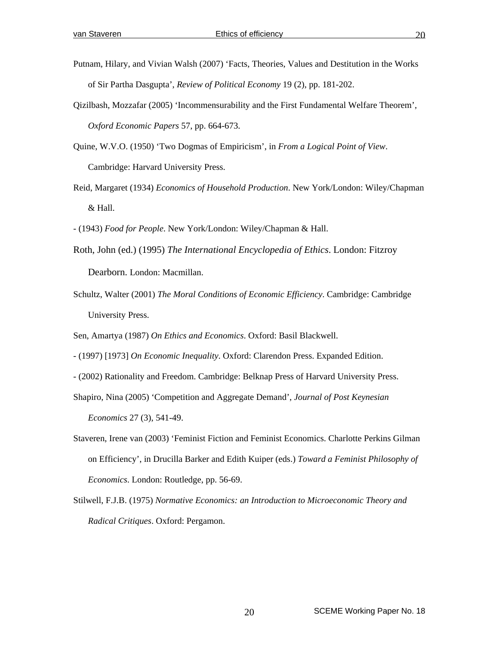- Putnam, Hilary, and Vivian Walsh (2007) 'Facts, Theories, Values and Destitution in the Works of Sir Partha Dasgupta', *Review of Political Economy* 19 (2), pp. 181-202.
- Qizilbash, Mozzafar (2005) 'Incommensurability and the First Fundamental Welfare Theorem', *Oxford Economic Papers* 57, pp. 664-673.
- Quine, W.V.O. (1950) 'Two Dogmas of Empiricism', in *From a Logical Point of View*. Cambridge: Harvard University Press.
- Reid, Margaret (1934) *Economics of Household Production*. New York/London: Wiley/Chapman & Hall.
- (1943) *Food for People*. New York/London: Wiley/Chapman & Hall.
- Roth, John (ed.) (1995) *The International Encyclopedia of Ethics*. London: Fitzroy Dearborn. London: Macmillan.
- Schultz, Walter (2001) *The Moral Conditions of Economic Efficiency*. Cambridge: Cambridge University Press.
- Sen, Amartya (1987) *On Ethics and Economics*. Oxford: Basil Blackwell.
- (1997) [1973] *On Economic Inequality*. Oxford: Clarendon Press. Expanded Edition.
- (2002) Rationality and Freedom. Cambridge: Belknap Press of Harvard University Press.
- Shapiro, Nina (2005) 'Competition and Aggregate Demand', *Journal of Post Keynesian Economics* 27 (3), 541-49.
- Staveren, Irene van (2003) 'Feminist Fiction and Feminist Economics. Charlotte Perkins Gilman on Efficiency', in Drucilla Barker and Edith Kuiper (eds.) *Toward a Feminist Philosophy of Economics*. London: Routledge, pp. 56-69.
- Stilwell, F.J.B. (1975) *Normative Economics: an Introduction to Microeconomic Theory and Radical Critiques*. Oxford: Pergamon.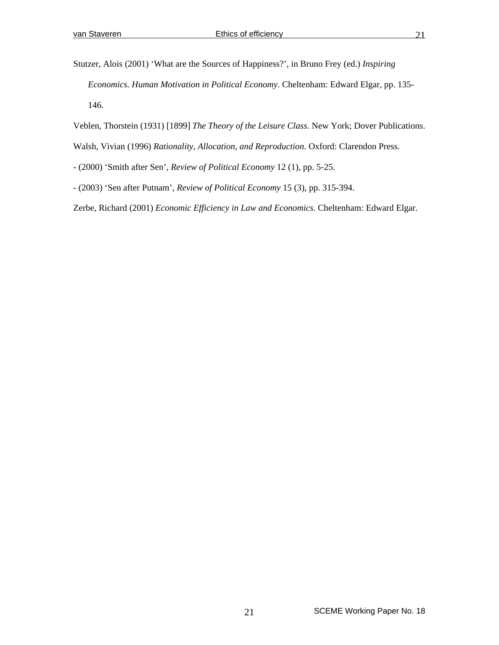Stutzer, Alois (2001) 'What are the Sources of Happiness?', in Bruno Frey (ed.) *Inspiring Economics. Human Motivation in Political Economy*. Cheltenham: Edward Elgar, pp. 135- 146.

- Veblen, Thorstein (1931) [1899] *The Theory of the Leisure Class*. New York; Dover Publications. Walsh, Vivian (1996) *Rationality, Allocation, and Reproduction*. Oxford: Clarendon Press.
- (2000) 'Smith after Sen', *Review of Political Economy* 12 (1), pp. 5-25.
- (2003) 'Sen after Putnam', *Review of Political Economy* 15 (3), pp. 315-394.

Zerbe, Richard (2001) *Economic Efficiency in Law and Economics*. Cheltenham: Edward Elgar.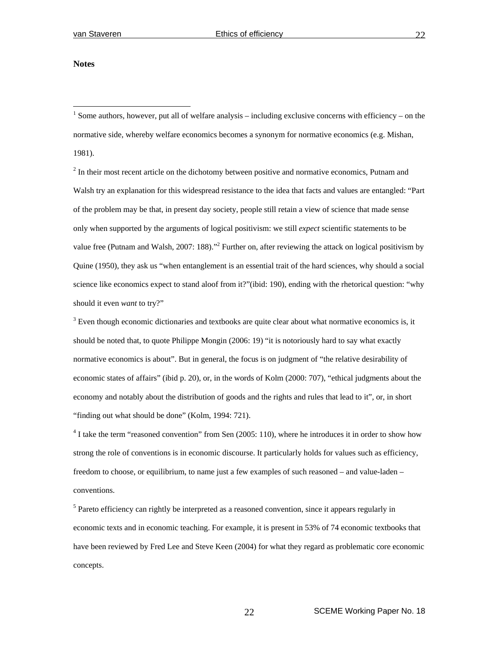#### **Notes**

 $\overline{a}$ 

<sup>1</sup> Some authors, however, put all of welfare analysis – including exclusive concerns with efficiency – on the normative side, whereby welfare economics becomes a synonym for normative economics (e.g. Mishan, 1981).

 $2<sup>2</sup>$  In their most recent article on the dichotomy between positive and normative economics, Putnam and Walsh try an explanation for this widespread resistance to the idea that facts and values are entangled: "Part of the problem may be that, in present day society, people still retain a view of science that made sense only when supported by the arguments of logical positivism: we still *expect* scientific statements to be value free (Putnam and Walsh, 2007: 188)."<sup>2</sup> Further on, after reviewing the attack on logical positivism by Quine (1950), they ask us "when entanglement is an essential trait of the hard sciences, why should a social science like economics expect to stand aloof from it?"(ibid: 190), ending with the rhetorical question: "why should it even *want* to try?"

 $3$  Even though economic dictionaries and textbooks are quite clear about what normative economics is, it should be noted that, to quote Philippe Mongin (2006: 19) "it is notoriously hard to say what exactly normative economics is about". But in general, the focus is on judgment of "the relative desirability of economic states of affairs" (ibid p. 20), or, in the words of Kolm (2000: 707), "ethical judgments about the economy and notably about the distribution of goods and the rights and rules that lead to it", or, in short "finding out what should be done" (Kolm, 1994: 721).

 $4$  I take the term "reasoned convention" from Sen (2005: 110), where he introduces it in order to show how strong the role of conventions is in economic discourse. It particularly holds for values such as efficiency, freedom to choose, or equilibrium, to name just a few examples of such reasoned – and value-laden – conventions.

<sup>5</sup> Pareto efficiency can rightly be interpreted as a reasoned convention, since it appears regularly in economic texts and in economic teaching. For example, it is present in 53% of 74 economic textbooks that have been reviewed by Fred Lee and Steve Keen (2004) for what they regard as problematic core economic concepts.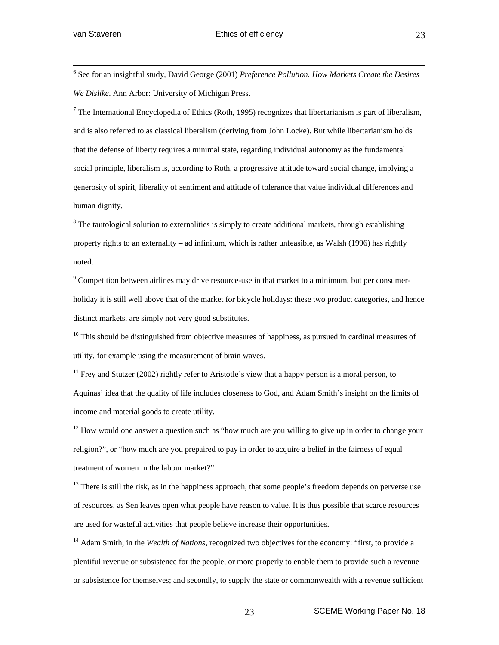$\frac{1}{6}$  See for an insightful study, David George (2001) *Preference Pollution. How Markets Create the Desires We Dislike*. Ann Arbor: University of Michigan Press.

<sup>7</sup> The International Encyclopedia of Ethics (Roth, 1995) recognizes that libertarianism is part of liberalism, and is also referred to as classical liberalism (deriving from John Locke). But while libertarianism holds that the defense of liberty requires a minimal state, regarding individual autonomy as the fundamental social principle, liberalism is, according to Roth, a progressive attitude toward social change, implying a generosity of spirit, liberality of sentiment and attitude of tolerance that value individual differences and human dignity.

 $8$  The tautological solution to externalities is simply to create additional markets, through establishing property rights to an externality – ad infinitum, which is rather unfeasible, as Walsh (1996) has rightly noted.

 $9^9$  Competition between airlines may drive resource-use in that market to a minimum, but per consumerholiday it is still well above that of the market for bicycle holidays: these two product categories, and hence distinct markets, are simply not very good substitutes.

 $10$  This should be distinguished from objective measures of happiness, as pursued in cardinal measures of utility, for example using the measurement of brain waves.

 $11$  Frey and Stutzer (2002) rightly refer to Aristotle's view that a happy person is a moral person, to Aquinas' idea that the quality of life includes closeness to God, and Adam Smith's insight on the limits of income and material goods to create utility.

 $12$  How would one answer a question such as "how much are you willing to give up in order to change your religion?", or "how much are you prepaired to pay in order to acquire a belief in the fairness of equal treatment of women in the labour market?"

 $13$  There is still the risk, as in the happiness approach, that some people's freedom depends on perverse use of resources, as Sen leaves open what people have reason to value. It is thus possible that scarce resources are used for wasteful activities that people believe increase their opportunities.

<sup>14</sup> Adam Smith, in the *Wealth of Nations*, recognized two objectives for the economy: "first, to provide a plentiful revenue or subsistence for the people, or more properly to enable them to provide such a revenue or subsistence for themselves; and secondly, to supply the state or commonwealth with a revenue sufficient